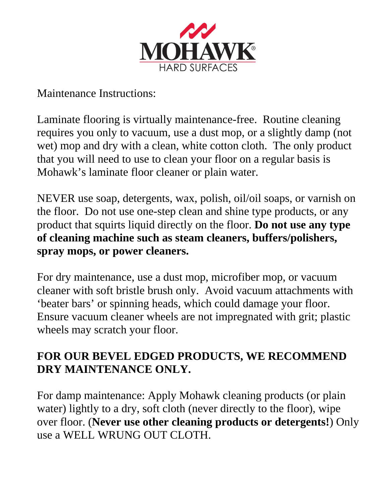

Maintenance Instructions:

Laminate flooring is virtually maintenance-free. Routine cleaning requires you only to vacuum, use a dust mop, or a slightly damp (not wet) mop and dry with a clean, white cotton cloth. The only product that you will need to use to clean your floor on a regular basis is Mohawk's laminate floor cleaner or plain water.

NEVER use soap, detergents, wax, polish, oil/oil soaps, or varnish on the floor. Do not use one-step clean and shine type products, or any product that squirts liquid directly on the floor. **Do not use any type of cleaning machine such as steam cleaners, buffers/polishers, spray mops, or power cleaners.**

For dry maintenance, use a dust mop, microfiber mop, or vacuum cleaner with soft bristle brush only. Avoid vacuum attachments with 'beater bars' or spinning heads, which could damage your floor. Ensure vacuum cleaner wheels are not impregnated with grit; plastic wheels may scratch your floor.

## **FOR OUR BEVEL EDGED PRODUCTS, WE RECOMMEND DRY MAINTENANCE ONLY.**

For damp maintenance: Apply Mohawk cleaning products (or plain water) lightly to a dry, soft cloth (never directly to the floor), wipe over floor. (**Never use other cleaning products or detergents!**) Only use a WELL WRUNG OUT CLOTH.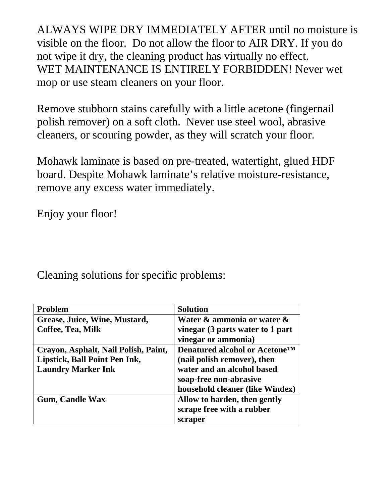ALWAYS WIPE DRY IMMEDIATELY AFTER until no moisture is visible on the floor. Do not allow the floor to AIR DRY. If you do not wipe it dry, the cleaning product has virtually no effect. WET MAINTENANCE IS ENTIRELY FORBIDDEN! Never wet mop or use steam cleaners on your floor.

Remove stubborn stains carefully with a little acetone (fingernail polish remover) on a soft cloth. Never use steel wool, abrasive cleaners, or scouring powder, as they will scratch your floor.

Mohawk laminate is based on pre-treated, watertight, glued HDF board. Despite Mohawk laminate's relative moisture-resistance, remove any excess water immediately.

Enjoy your floor!

Cleaning solutions for specific problems:

| <b>Problem</b>                       | <b>Solution</b>                            |
|--------------------------------------|--------------------------------------------|
| Grease, Juice, Wine, Mustard,        | Water & ammonia or water &                 |
| Coffee, Tea, Milk                    | vinegar (3 parts water to 1 part           |
|                                      | vinegar or ammonia)                        |
| Crayon, Asphalt, Nail Polish, Paint, | Denatured alcohol or Acetone <sup>TM</sup> |
| Lipstick, Ball Point Pen Ink,        | (nail polish remover), then                |
| <b>Laundry Marker Ink</b>            | water and an alcohol based                 |
|                                      | soap-free non-abrasive                     |
|                                      | household cleaner (like Windex)            |
| <b>Gum, Candle Wax</b>               | Allow to harden, then gently               |
|                                      | scrape free with a rubber                  |
|                                      | scraper                                    |